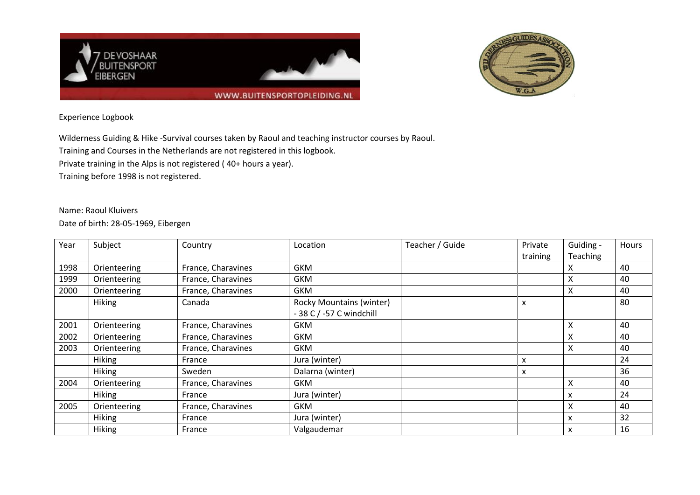



## Experience Logbook

Wilderness Guiding & Hike -Survival courses taken by Raoul and teaching instructor courses by Raoul.

Training and Courses in the Netherlands are not registered in this logbook.

Private training in the Alps is not registered ( 40+ hours a year).

Training before 1998 is not registered.

Name: Raoul Kluivers Date of birth: 28-05-1969, Eibergen

| Year | Subject       | Country            | Location                        | Teacher / Guide | Private  | Guiding - | <b>Hours</b> |
|------|---------------|--------------------|---------------------------------|-----------------|----------|-----------|--------------|
|      |               |                    |                                 |                 | training | Teaching  |              |
| 1998 | Orienteering  | France, Charavines | <b>GKM</b>                      |                 |          | Χ         | 40           |
| 1999 | Orienteering  | France, Charavines | <b>GKM</b>                      |                 |          | Χ         | 40           |
| 2000 | Orienteering  | France, Charavines | <b>GKM</b>                      |                 |          | Χ         | 40           |
|      | <b>Hiking</b> | Canada             | <b>Rocky Mountains (winter)</b> |                 | x        |           | 80           |
|      |               |                    | - 38 C / -57 C windchill        |                 |          |           |              |
| 2001 | Orienteering  | France, Charavines | <b>GKM</b>                      |                 |          | Χ         | 40           |
| 2002 | Orienteering  | France, Charavines | <b>GKM</b>                      |                 |          | X         | 40           |
| 2003 | Orienteering  | France, Charavines | <b>GKM</b>                      |                 |          | Χ         | 40           |
|      | <b>Hiking</b> | France             | Jura (winter)                   |                 | x        |           | 24           |
|      | <b>Hiking</b> | Sweden             | Dalarna (winter)                |                 | x        |           | 36           |
| 2004 | Orienteering  | France, Charavines | <b>GKM</b>                      |                 |          | Χ         | 40           |
|      | <b>Hiking</b> | France             | Jura (winter)                   |                 |          | x         | 24           |
| 2005 | Orienteering  | France, Charavines | <b>GKM</b>                      |                 |          | Χ         | 40           |
|      | <b>Hiking</b> | France             | Jura (winter)                   |                 |          | x         | 32           |
|      | Hiking        | France             | Valgaudemar                     |                 |          | x         | 16           |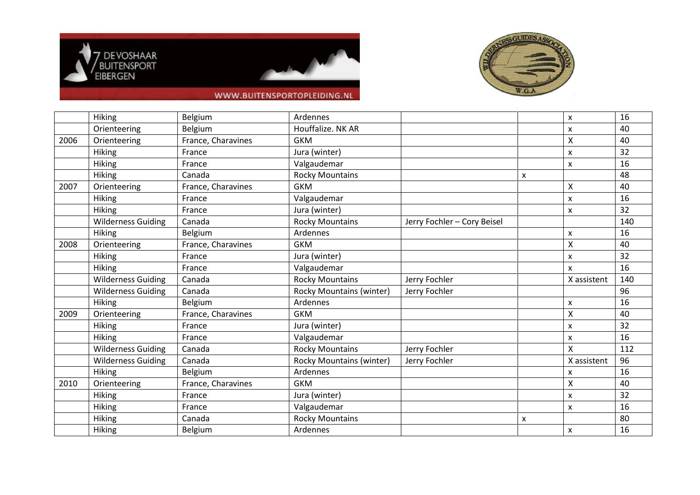





## WWW.BUITENSPORTOPLEIDING.NL

|      | <b>Hiking</b>             | Belgium            | Ardennes                        |                             |   | X                         | 16  |
|------|---------------------------|--------------------|---------------------------------|-----------------------------|---|---------------------------|-----|
|      | Orienteering              | Belgium            | Houffalize. NK AR               |                             |   | X                         | 40  |
| 2006 | Orienteering              | France, Charavines | <b>GKM</b>                      |                             |   | $\pmb{\mathsf{X}}$        | 40  |
|      | <b>Hiking</b>             | France             | Jura (winter)                   |                             |   | $\boldsymbol{\mathsf{x}}$ | 32  |
|      | <b>Hiking</b>             | France             | Valgaudemar                     |                             |   | X                         | 16  |
|      | <b>Hiking</b>             | Canada             | <b>Rocky Mountains</b>          |                             | X |                           | 48  |
| 2007 | Orienteering              | France, Charavines | <b>GKM</b>                      |                             |   | X                         | 40  |
|      | <b>Hiking</b>             | France             | Valgaudemar                     |                             |   | X                         | 16  |
|      | Hiking                    | France             | Jura (winter)                   |                             |   | X                         | 32  |
|      | <b>Wilderness Guiding</b> | Canada             | <b>Rocky Mountains</b>          | Jerry Fochler - Cory Beisel |   |                           | 140 |
|      | <b>Hiking</b>             | Belgium            | Ardennes                        |                             |   | X                         | 16  |
| 2008 | Orienteering              | France, Charavines | <b>GKM</b>                      |                             |   | $\boldsymbol{\mathsf{X}}$ | 40  |
|      | <b>Hiking</b>             | France             | Jura (winter)                   |                             |   | X                         | 32  |
|      | Hiking                    | France             | Valgaudemar                     |                             |   | X                         | 16  |
|      | <b>Wilderness Guiding</b> | Canada             | <b>Rocky Mountains</b>          | Jerry Fochler               |   | X assistent               | 140 |
|      | <b>Wilderness Guiding</b> | Canada             | <b>Rocky Mountains (winter)</b> | Jerry Fochler               |   |                           | 96  |
|      | Hiking                    | Belgium            | Ardennes                        |                             |   | X                         | 16  |
| 2009 | Orienteering              | France, Charavines | <b>GKM</b>                      |                             |   | X                         | 40  |
|      | <b>Hiking</b>             | France             | Jura (winter)                   |                             |   | X                         | 32  |
|      | <b>Hiking</b>             | France             | Valgaudemar                     |                             |   | X                         | 16  |
|      | <b>Wilderness Guiding</b> | Canada             | <b>Rocky Mountains</b>          | Jerry Fochler               |   | X                         | 112 |
|      | <b>Wilderness Guiding</b> | Canada             | <b>Rocky Mountains (winter)</b> | Jerry Fochler               |   | X assistent               | 96  |
|      | Hiking                    | Belgium            | Ardennes                        |                             |   | X                         | 16  |
| 2010 | Orienteering              | France, Charavines | <b>GKM</b>                      |                             |   | Χ                         | 40  |
|      | <b>Hiking</b>             | France             | Jura (winter)                   |                             |   | X                         | 32  |
|      | Hiking                    | France             | Valgaudemar                     |                             |   | X                         | 16  |
|      | <b>Hiking</b>             | Canada             | <b>Rocky Mountains</b>          |                             | X |                           | 80  |
|      | <b>Hiking</b>             | Belgium            | Ardennes                        |                             |   | X                         | 16  |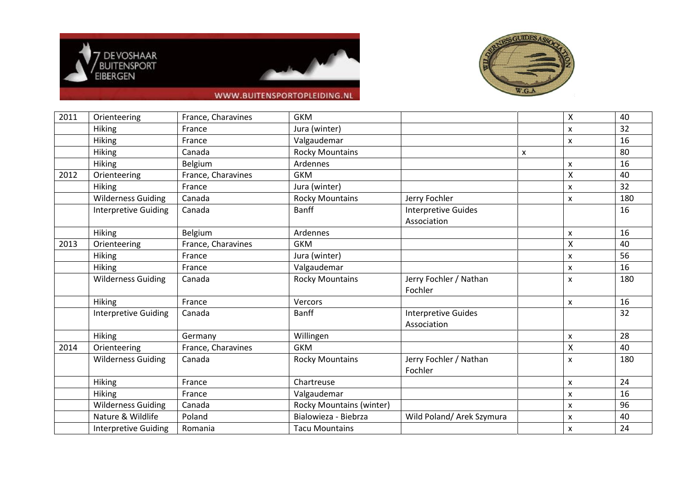





## WWW.BUITENSPORTOPLEIDING.NL

| 2011 | Orienteering                | France, Charavines | <b>GKM</b>                      |                                           |   | Χ | 40  |
|------|-----------------------------|--------------------|---------------------------------|-------------------------------------------|---|---|-----|
|      | <b>Hiking</b>               | France             | Jura (winter)                   |                                           |   | X | 32  |
|      | <b>Hiking</b>               | France             | Valgaudemar                     |                                           |   | x | 16  |
|      | <b>Hiking</b>               | Canada             | <b>Rocky Mountains</b>          |                                           | x |   | 80  |
|      | <b>Hiking</b>               | Belgium            | Ardennes                        |                                           |   | X | 16  |
| 2012 | Orienteering                | France, Charavines | <b>GKM</b>                      |                                           |   | X | 40  |
|      | <b>Hiking</b>               | France             | Jura (winter)                   |                                           |   | X | 32  |
|      | <b>Wilderness Guiding</b>   | Canada             | <b>Rocky Mountains</b>          | Jerry Fochler                             |   | x | 180 |
|      | Interpretive Guiding        | Canada             | <b>Banff</b>                    | <b>Interpretive Guides</b><br>Association |   |   | 16  |
|      | <b>Hiking</b>               | Belgium            | Ardennes                        |                                           |   | x | 16  |
| 2013 | Orienteering                | France, Charavines | <b>GKM</b>                      |                                           |   | X | 40  |
|      | <b>Hiking</b>               | France             | Jura (winter)                   |                                           |   | x | 56  |
|      | Hiking                      | France             | Valgaudemar                     |                                           |   | x | 16  |
|      | <b>Wilderness Guiding</b>   | Canada             | <b>Rocky Mountains</b>          | Jerry Fochler / Nathan<br>Fochler         |   | x | 180 |
|      | Hiking                      | France             | Vercors                         |                                           |   | X | 16  |
|      | <b>Interpretive Guiding</b> | Canada             | <b>Banff</b>                    | <b>Interpretive Guides</b><br>Association |   |   | 32  |
|      | <b>Hiking</b>               | Germany            | Willingen                       |                                           |   | X | 28  |
| 2014 | Orienteering                | France, Charavines | <b>GKM</b>                      |                                           |   | Χ | 40  |
|      | <b>Wilderness Guiding</b>   | Canada             | <b>Rocky Mountains</b>          | Jerry Fochler / Nathan<br>Fochler         |   | x | 180 |
|      | <b>Hiking</b>               | France             | Chartreuse                      |                                           |   | X | 24  |
|      | <b>Hiking</b>               | France             | Valgaudemar                     |                                           |   | x | 16  |
|      | <b>Wilderness Guiding</b>   | Canada             | <b>Rocky Mountains (winter)</b> |                                           |   | x | 96  |
|      | Nature & Wildlife           | Poland             | Bialowieza - Biebrza            | Wild Poland/ Arek Szymura                 |   | x | 40  |
|      | <b>Interpretive Guiding</b> | Romania            | <b>Tacu Mountains</b>           |                                           |   | X | 24  |